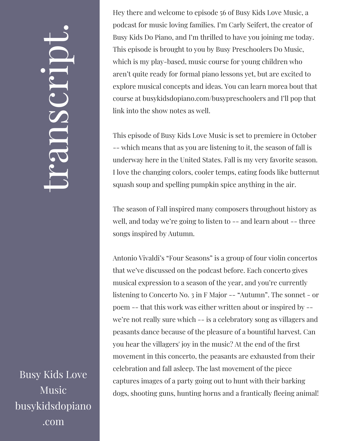## $\leftarrow$ ra<br>S n $\boldsymbol{C}$  $\bigcup$ r $\bullet$   $\overline{\phantom{1}}$  $\boxed{\phantom{1}}$  $\overline{\phantom{a}}$  $\bullet$

Busy Kids Love Music busykidsdopiano .com

Hey there and welcome to episode 56 of Busy Kids Love Music, a podcast for music loving families. I'm Carly Seifert, the creator of Busy Kids Do Piano, and I'm thrilled to have you joining me today. This episode is brought to you by Busy Preschoolers Do Music, which is my play-based, music course for young children who aren't quite ready for formal piano lessons yet, but are excited to explore musical concepts and ideas. You can learn morea bout that course at busykidsdopiano.com/busypreschoolers and I'll pop that link into the show notes as well.

This episode of Busy Kids Love Music is set to premiere in October -- which means that as you are listening to it, the season of fall is underway here in the United States. Fall is my very favorite season. I love the changing colors, cooler temps, eating foods like butternut squash soup and spelling pumpkin spice anything in the air.

The season of Fall inspired many composers throughout history as well, and today we're going to listen to -- and learn about -- three songs inspired by Autumn.

Antonio Vivaldi's "Four Seasons" is a group of four violin concertos that we've discussed on the podcast before. Each concerto gives musical expression to a season of the year, and you're currently listening to Concerto No. 3 in F Major -- "Autumn". The sonnet - or poem -- that this work was either written about or inspired by - we're not really sure which -- is a celebratory song as villagers and peasants dance because of the pleasure of a bountiful harvest. Can you hear the villagers' joy in the music? At the end of the first movement in this concerto, the peasants are exhausted from their celebration and fall asleep. The last movement of the piece captures images of a party going out to hunt with their barking dogs, shooting guns, hunting horns and a frantically fleeing animal!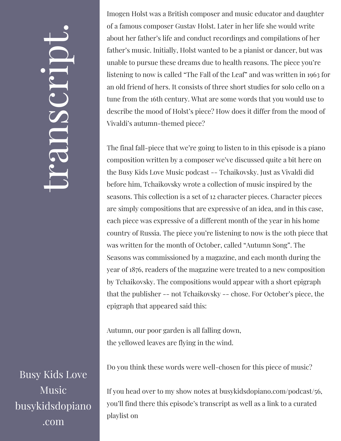## $\leftarrow$ ra<br>S n $\boldsymbol{C}$  $\bigcup$ r $\bullet$   $\overline{\phantom{1}}$  $\boxed{\phantom{1}}$  $\overline{\phantom{a}}$  $\bullet$

Busy Kids Love Music busykidsdopiano .com

Imogen Holst was a British composer and music educator and daughter of a famous composer Gustav Holst. Later in her life she would write about her father's life and conduct recordings and compilations of her father's music. Initially, Holst wanted to be a pianist or dancer, but was unable to pursue these dreams due to health reasons. The piece you're listening to now is called "The Fall of the Leaf" and was written in 1963 for an old friend of hers. It consists of three short studies for solo cello on a tune from the 16th century. What are some words that you would use to describe the mood of Holst's piece? How does it differ from the mood of Vivaldi's autumn-themed piece?

The final fall-piece that we're going to listen to in this episode is a piano composition written by a composer we've discussed quite a bit here on the Busy Kids Love Music podcast -- Tchaikovsky. Just as Vivaldi did before him, Tchaikovsky wrote a collection of music inspired by the seasons. This collection is a set of 12 character pieces. Character pieces are simply compositions that are expressive of an idea, and in this case, each piece was expressive of a different month of the year in his home country of Russia. The piece you're listening to now is the 10th piece that was written for the month of October, called "Autumn Song". The Seasons was commissioned by a magazine, and each month during the year of 1876, readers of the magazine were treated to a new composition by Tchaikovsky. The compositions would appear with a short epigraph that the publisher -- not Tchaikovsky -- chose. For October's piece, the epigraph that appeared said this:

Autumn, our poor garden is all falling down, the yellowed leaves are flying in the wind.

Do you think these words were well-chosen for this piece of music?

If you head over to my show notes at busykidsdopiano.com/podcast/56, you'll find there this episode's transcript as well as a link to a curated playlist on